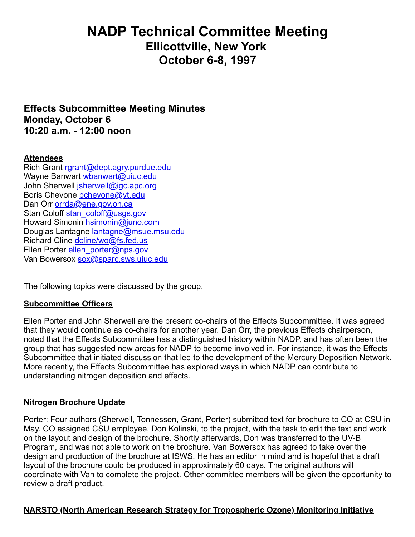# **NADP Technical Committee Meeting Ellicottville, New York October 6-8, 1997**

**Effects Subcommittee Meeting Minutes Monday, October 6 10:20 a.m. - 12:00 noon**

#### **Attendees**

Rich Grant [rgrant@dept.agry.purdue.edu](mailto:rgrant@dept.agry.purdue.edu) Wayne Banwart [wbanwart@uiuc.edu](mailto:wbanwalt@uiuc.edu) John Sherwell *jsherwell@jgc.apc.org* Boris Chevone [bchevone@vt.edu](mailto:bchevone@vt.edu) Dan Orr [orrda@ene.gov.on.ca](mailto:orrda@ene.gov.on.ca) Stan Coloff [stan\\_coloff@usgs.gov](mailto:stan_coloff@usgs.gov) Howard Simonin [hsimonin@juno.com](mailto:hsimonin@juno.com) Douglas Lantagne [lantagne@msue.msu.edu](mailto:lantagne@msue.msu.edu) Richard Cline [dcline/wo@fs.fed.us](mailto:dcline/wo@fs.fed.us) Ellen Porter [ellen\\_porter@nps.gov](mailto:ellen_porter@nps.gov) Van Bowersox [sox@sparc.sws.uiuc.edu](mailto:sox@sparc.sws.uiuc.edu)

The following topics were discussed by the group.

#### **Subcommittee Officers**

Ellen Porter and John Sherwell are the present co-chairs of the Effects Subcommittee. It was agreed that they would continue as co-chairs for another year. Dan Orr, the previous Effects chairperson, noted that the Effects Subcommittee has a distinguished history within NADP, and has often been the group that has suggested new areas for NADP to become involved in. For instance, it was the Effects Subcommittee that initiated discussion that led to the development of the Mercury Deposition Network. More recently, the Effects Subcommittee has explored ways in which NADP can contribute to understanding nitrogen deposition and effects.

#### **Nitrogen Brochure Update**

Porter: Four authors (Sherwell, Tonnessen, Grant, Porter) submitted text for brochure to CO at CSU in May. CO assigned CSU employee, Don Kolinski, to the project, with the task to edit the text and work on the layout and design of the brochure. Shortly afterwards, Don was transferred to the UV-B Program, and was not able to work on the brochure. Van Bowersox has agreed to take over the design and production of the brochure at ISWS. He has an editor in mind and is hopeful that a draft layout of the brochure could be produced in approximately 60 days. The original authors will coordinate with Van to complete the project. Other committee members will be given the opportunity to review a draft product.

#### **NARSTO (North American Research Strategy for Tropospheric Ozone) Monitoring Initiative**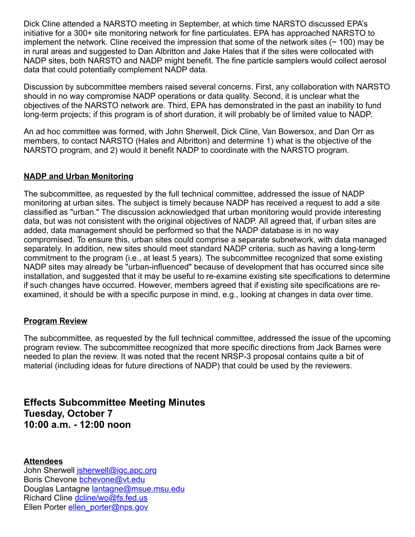Dick Cline attended a NARSTO meeting in September, at which time NARSTO discussed EPA's initiative for a 300+ site monitoring network for fine particulates. EPA has approached NARSTO to implement the network. Cline received the impression that some of the network sites  $($   $\sim$  100) may be in rural areas and suggested to Dan Albritton and Jake Hales that if the sites were collocated with NADP sites, both NARSTO and NADP might benefit. The fine particle samplers would collect aerosol data that could potentially complement NADP data.

Discussion by subcommittee members raised several concerns. First, any collaboration with NARSTO should in no way compromise NADP operations or data quality. Second, it is unclear what the objectives of the NARSTO network are. Third, EPA has demonstrated in the past an inability to fund long-term projects; if this program is of short duration, it will probably be of limited value to NADP.

An ad hoc committee was formed, with John Sherwell, Dick Cline, Van Bowersox, and Dan Orr as members, to contact NARSTO (Hales and Albritton) and determine 1) what is the objective of the NARSTO program, and 2) would it benefit NADP to coordinate with the NARSTO program.

## **NADP and Urban Monitoring**

The subcommittee, as requested by the full technical committee, addressed the issue of NADP monitoring at urban sites. The subject is timely because NADP has received a request to add a site classified as "urban." The discussion acknowledged that urban monitoring would provide interesting data, but was not consistent with the original objectives of NADP. All agreed that, if urban sites are added, data management should be performed so that the NADP database is in no way compromised. To ensure this, urban sites could comprise a separate subnetwork, with data managed separately. In addition, new sites should meet standard NADP criteria, such as having a long-term commitment to the program (i.e., at least 5 years). The subcommittee recognized that some existing NADP sites may already be "urban-influenced" because of development that has occurred since site installation, and suggested that it may be useful to re-examine existing site specifications to determine if such changes have occurred. However, members agreed that if existing site specifications are reexamined, it should be with a specific purpose in mind, e.g., looking at changes in data over time.

## **Program Review**

The subcommittee, as requested by the full technical committee, addressed the issue of the upcoming program review. The subcommittee recognized that more specific directions from Jack Barnes were needed to plan the review. It was noted that the recent NRSP-3 proposal contains quite a bit of material (including ideas for future directions of NADP) that could be used by the reviewers.

**Effects Subcommittee Meeting Minutes Tuesday, October 7 10:00 a.m. - 12:00 noon**

**Attendees**

John Sherwell [jsherwell@igc.apc.org](mailto:jsherwell@igc.apc.org) Boris Chevone bchevone@yt.edu Douglas Lantagne [lantagne@msue.msu.edu](mailto:lantagne@msue.msu.edu) Richard Cline [dcline/wo@fs.fed.us](mailto:dcline/wo@fs.fed.us) Ellen Porter [ellen\\_porter@nps.gov](mailto:ellen_porter@nps.gov)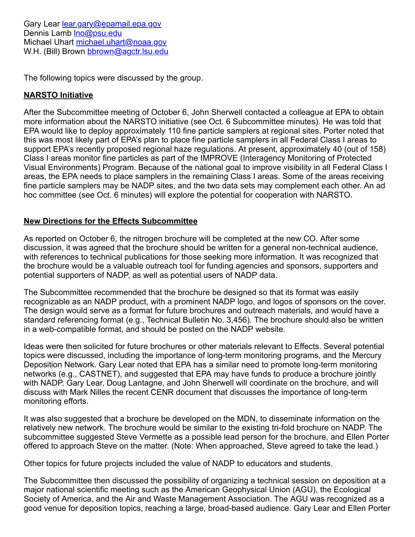Gary Lear [lear.gary@epamail.epa.gov](mailto:lear.gary@epamail.epa.gov) Dennis Lamb Ino@psu.edu Michael Uhart [michael.uhart@noaa.gov](mailto:michael.uhart@noaa.gov) W.H. (Bill) Brown [bbrown@agctr.lsu.edu](mailto:bbrown@agctr.lsu.edu)

The following topics were discussed by the group.

#### **NARSTO Initiative**

After the Subcommittee meeting of October 6, John Sherwell contacted a colleague at EPA to obtain more information about the NARSTO initiative (see Oct. 6 Subcommittee minutes). He was told that EPA would like to deploy approximately 110 fine particle samplers at regional sites. Porter noted that this was most likely part of EPA's plan to place fine particle samplers in all Federal Class I areas to support EPA's recently proposed regional haze regulations. At present, approximately 40 (out of 158) Class I areas monitor fine particles as part of the IMPROVE (Interagency Monitoring of Protected Visual Environments) Program. Because of the national goal to improve visibility in all Federal Class I areas, the EPA needs to place samplers in the remaining Class I areas. Some of the areas receiving fine particle samplers may be NADP sites, and the two data sets may complement each other. An ad hoc committee (see Oct. 6 minutes) will explore the potential for cooperation with NARSTO.

### **New Directions for the Effects Subcommittee**

As reported on October 6, the nitrogen brochure will be completed at the new CO. After some discussion, it was agreed that the brochure should be written for a general non-technical audience, with references to technical publications for those seeking more information. It was recognized that the brochure would be a valuable outreach tool for funding agencies and sponsors, supporters and potential supporters of NADP, as well as potential users of NADP data.

The Subcommittee recommended that the brochure be designed so that its format was easily recognizable as an NADP product, with a prominent NADP logo, and logos of sponsors on the cover. The design would serve as a format for future brochures and outreach materials, and would have a standard referencing format (e.g., Technical Bulletin No. 3,456). The brochure should also be written in a web-compatible format, and should be posted on the NADP website.

Ideas were then solicited for future brochures or other materials relevant to Effects. Several potential topics were discussed, including the importance of long-term monitoring programs, and the Mercury Deposition Network. Gary Lear noted that EPA has a similar need to promote long-term monitoring networks (e.g., CASTNET), and suggested that EPA may have funds to produce a brochure jointly with NADP. Gary Lear, Doug Lantagne, and John Sherwell will coordinate on the brochure, and will discuss with Mark Nilles the recent CENR document that discusses the importance of long-term monitoring efforts.

It was also suggested that a brochure be developed on the MDN, to disseminate information on the relatively new network. The brochure would be similar to the existing tri-fold brochure on NADP. The subcommittee suggested Steve Vermette as a possible lead person for the brochure, and Ellen Porter offered to approach Steve on the matter. (Note: When approached, Steve agreed to take the lead.)

Other topics for future projects included the value of NADP to educators and students.

The Subcommittee then discussed the possibility of organizing a technical session on deposition at a major national scientific meeting such as the American Geophysical Union (AGU), the Ecological Society of America, and the Air and Waste Management Association. The AGU was recognized as a good venue for deposition topics, reaching a large, broad-based audience. Gary Lear and Ellen Porter